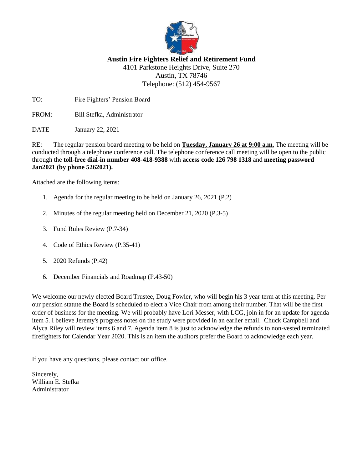

## **Austin Fire Fighters Relief and Retirement Fund** 4101 Parkstone Heights Drive, Suite 270

Austin, TX 78746 Telephone: (512) 454-9567

TO: Fire Fighters' Pension Board

FROM: Bill Stefka, Administrator

DATE January 22, 2021

RE: The regular pension board meeting to be held on **Tuesday, January 26 at 9:00 a.m.** The meeting will be conducted through a telephone conference call. The telephone conference call meeting will be open to the public through the **toll-free dial-in number 408-418-9388** with **access code 126 798 1318** and **meeting password Jan2021 (by phone 5262021).**

Attached are the following items:

- 1. Agenda for the regular meeting to be held on January 26, 2021 (P.2)
- 2. Minutes of the regular meeting held on December 21, 2020 (P.3-5)
- 3. Fund Rules Review (P.7-34)
- 4. Code of Ethics Review (P.35-41)
- 5. 2020 Refunds (P.42)
- 6. December Financials and Roadmap (P.43-50)

We welcome our newly elected Board Trustee, Doug Fowler, who will begin his 3 year term at this meeting. Per our pension statute the Board is scheduled to elect a Vice Chair from among their number. That will be the first order of business for the meeting. We will probably have Lori Messer, with LCG, join in for an update for agenda item 5. I believe Jeremy's progress notes on the study were provided in an earlier email. Chuck Campbell and Alyca Riley will review items 6 and 7. Agenda item 8 is just to acknowledge the refunds to non-vested terminated firefighters for Calendar Year 2020. This is an item the auditors prefer the Board to acknowledge each year.

If you have any questions, please contact our office.

Sincerely, William E. Stefka Administrator